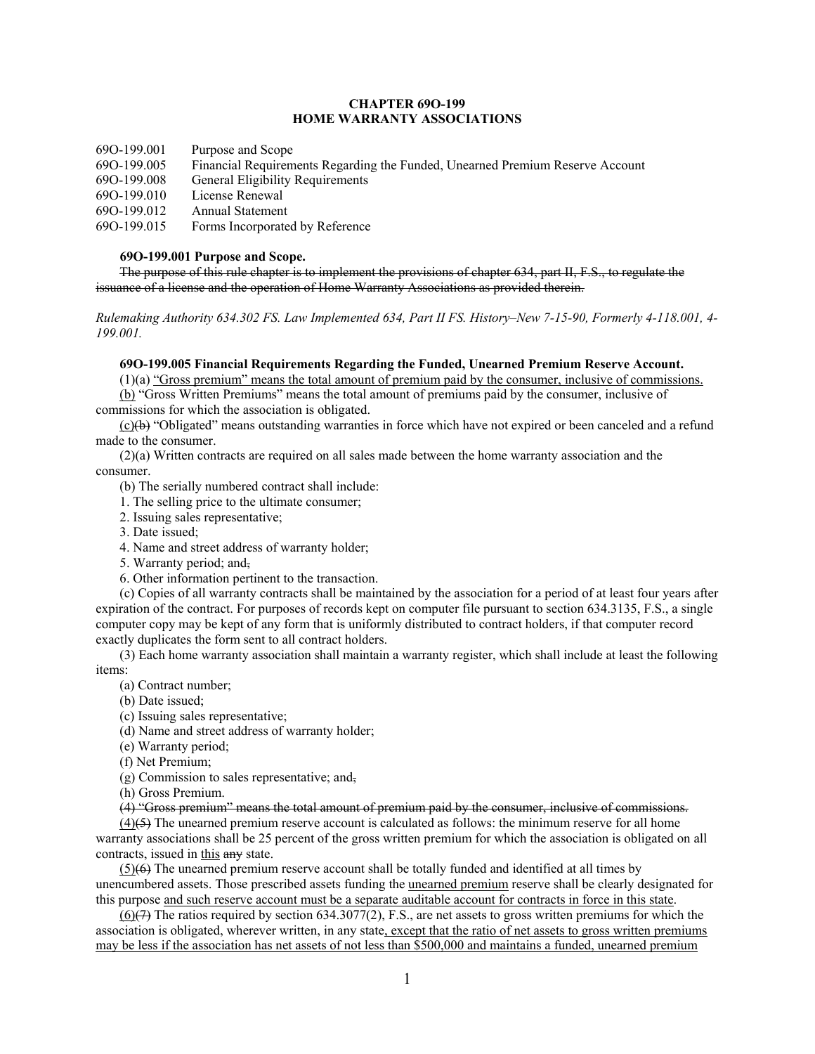# **CHAPTER 69O-199 HOME WARRANTY ASSOCIATIONS**

69O-199.001 Purpose and Scope

- 69O-199.005 Financial Requirements Regarding the Funded, Unearned Premium Reserve Account
- 69O-199.008 General Eligibility Requirements
- 69O-199.010 License Renewal

69O-199.012 Annual Statement

69O-199.015 Forms Incorporated by Reference

# **69O-199.001 Purpose and Scope.**

The purpose of this rule chapter is to implement the provisions of chapter 634, part II, F.S., to regulate the issuance of a license and the operation of Home Warranty Associations as provided therein.

*Rulemaking Authority 634.302 FS. Law Implemented 634, Part II FS. History–New 7-15-90, Formerly 4-118.001, 4- 199.001.*

## **69O-199.005 Financial Requirements Regarding the Funded, Unearned Premium Reserve Account.**

(1)(a) "Gross premium" means the total amount of premium paid by the consumer, inclusive of commissions.

(b) "Gross Written Premiums" means the total amount of premiums paid by the consumer, inclusive of commissions for which the association is obligated.

 $(c)$ ( $\leftrightarrow$ ) "Obligated" means outstanding warranties in force which have not expired or been canceled and a refund made to the consumer.

(2)(a) Written contracts are required on all sales made between the home warranty association and the consumer.

(b) The serially numbered contract shall include:

- 1. The selling price to the ultimate consumer;
- 2. Issuing sales representative;
- 3. Date issued;
- 4. Name and street address of warranty holder;
- 5. Warranty period; and,
- 6. Other information pertinent to the transaction.

(c) Copies of all warranty contracts shall be maintained by the association for a period of at least four years after expiration of the contract. For purposes of records kept on computer file pursuant to section 634.3135, F.S., a single computer copy may be kept of any form that is uniformly distributed to contract holders, if that computer record exactly duplicates the form sent to all contract holders.

(3) Each home warranty association shall maintain a warranty register, which shall include at least the following items:

- (a) Contract number;
- (b) Date issued;
- (c) Issuing sales representative;
- (d) Name and street address of warranty holder;
- (e) Warranty period;
- (f) Net Premium;

(g) Commission to sales representative; and,

(h) Gross Premium.

(4) "Gross premium" means the total amount of premium paid by the consumer, inclusive of commissions.

 $(4)$ (5) The unearned premium reserve account is calculated as follows: the minimum reserve for all home warranty associations shall be 25 percent of the gross written premium for which the association is obligated on all contracts, issued in this any state.

 $(5)(6)$  The unearned premium reserve account shall be totally funded and identified at all times by unencumbered assets. Those prescribed assets funding the unearned premium reserve shall be clearly designated for this purpose and such reserve account must be a separate auditable account for contracts in force in this state.

 $(6)(7)$  The ratios required by section 634.3077(2), F.S., are net assets to gross written premiums for which the association is obligated, wherever written, in any state, except that the ratio of net assets to gross written premiums may be less if the association has net assets of not less than \$500,000 and maintains a funded, unearned premium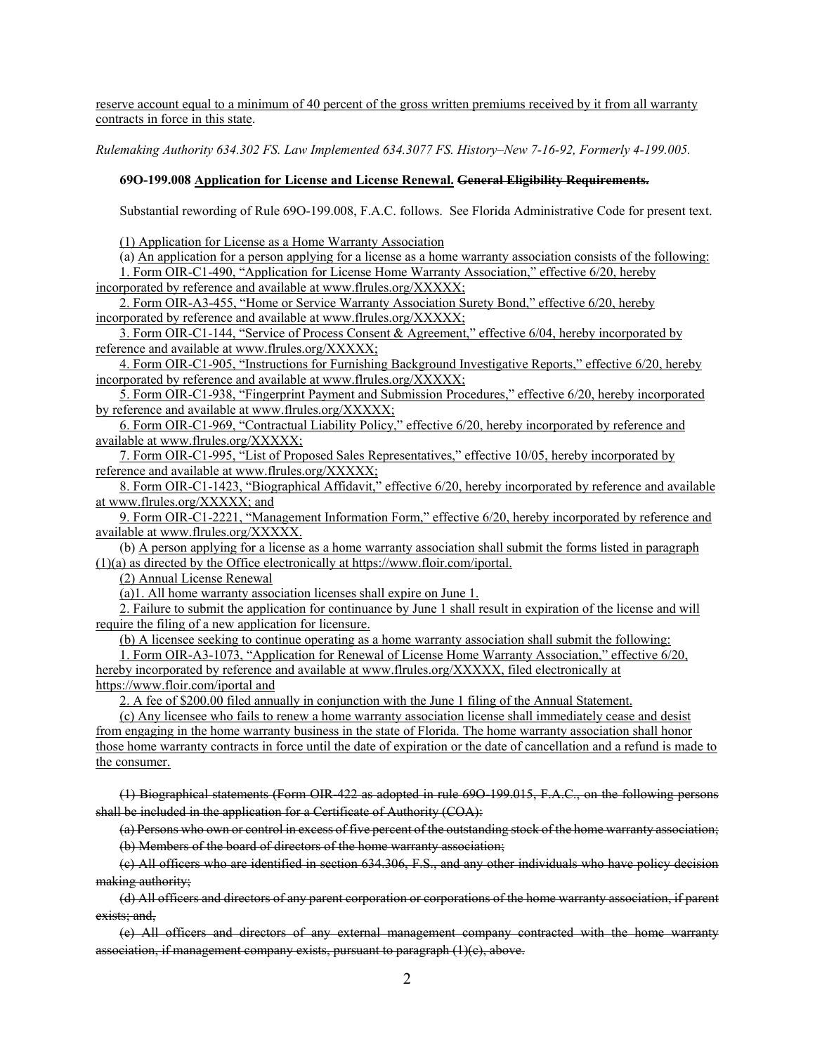reserve account equal to a minimum of 40 percent of the gross written premiums received by it from all warranty contracts in force in this state.

*Rulemaking Authority 634.302 FS. Law Implemented 634.3077 FS. History–New 7-16-92, Formerly 4-199.005.*

## **69O-199.008 Application for License and License Renewal. General Eligibility Requirements.**

Substantial rewording of Rule 69O-199.008, F.A.C. follows. See Florida Administrative Code for present text.

(1) Application for License as a Home Warranty Association

(a) An application for a person applying for a license as a home warranty association consists of the following: 1. Form OIR-C1-490, "Application for License Home Warranty Association," effective 6/20, hereby incorporated by reference and available at www.flrules.org/XXXXX;

2. Form OIR-A3-455, "Home or Service Warranty Association Surety Bond," effective 6/20, hereby incorporated by reference and available at www.flrules.org/XXXXX;

3. Form OIR-C1-144, "Service of Process Consent & Agreement," effective 6/04, hereby incorporated by reference and available at www.flrules.org/XXXXX;

4. Form OIR-C1-905, "Instructions for Furnishing Background Investigative Reports," effective 6/20, hereby incorporated by reference and available at www.flrules.org/XXXXX;

5. Form OIR-C1-938, "Fingerprint Payment and Submission Procedures," effective 6/20, hereby incorporated by reference and available at www.flrules.org/XXXXX;

6. Form OIR-C1-969, "Contractual Liability Policy," effective 6/20, hereby incorporated by reference and available at www.flrules.org/XXXXX;

7. Form OIR-C1-995, "List of Proposed Sales Representatives," effective 10/05, hereby incorporated by reference and available at www.flrules.org/XXXXX;

8. Form OIR-C1-1423, "Biographical Affidavit," effective 6/20, hereby incorporated by reference and available at www.flrules.org/XXXXX; and

9. Form OIR-C1-2221, "Management Information Form," effective 6/20, hereby incorporated by reference and available at www.flrules.org/XXXXX.

(b) A person applying for a license as a home warranty association shall submit the forms listed in paragraph (1)(a) as directed by the Office electronically at https://www.floir.com/iportal.

(2) Annual License Renewal

(a)1. All home warranty association licenses shall expire on June 1.

2. Failure to submit the application for continuance by June 1 shall result in expiration of the license and will require the filing of a new application for licensure.

(b) A licensee seeking to continue operating as a home warranty association shall submit the following:

1. Form OIR-A3-1073, "Application for Renewal of License Home Warranty Association," effective 6/20, hereby incorporated by reference and available at www.flrules.org/XXXXX, filed electronically at https://www.floir.com/iportal and

2. A fee of \$200.00 filed annually in conjunction with the June 1 filing of the Annual Statement.

(c) Any licensee who fails to renew a home warranty association license shall immediately cease and desist from engaging in the home warranty business in the state of Florida. The home warranty association shall honor those home warranty contracts in force until the date of expiration or the date of cancellation and a refund is made to the consumer.

(1) Biographical statements (Form OIR-422 as adopted in rule 69O-199.015, F.A.C., on the following persons shall be included in the application for a Certificate of Authority (COA):

(a) Persons who own or control in excess of five percent of the outstanding stock of the home warranty association; (b) Members of the board of directors of the home warranty association;

(c) All officers who are identified in section 634.306, F.S., and any other individuals who have policy decision making authority;

(d) All officers and directors of any parent corporation or corporations of the home warranty association, if parent exists; and,

(e) All officers and directors of any external management company contracted with the home warranty association, if management company exists, pursuant to paragraph  $(1)(c)$ , above.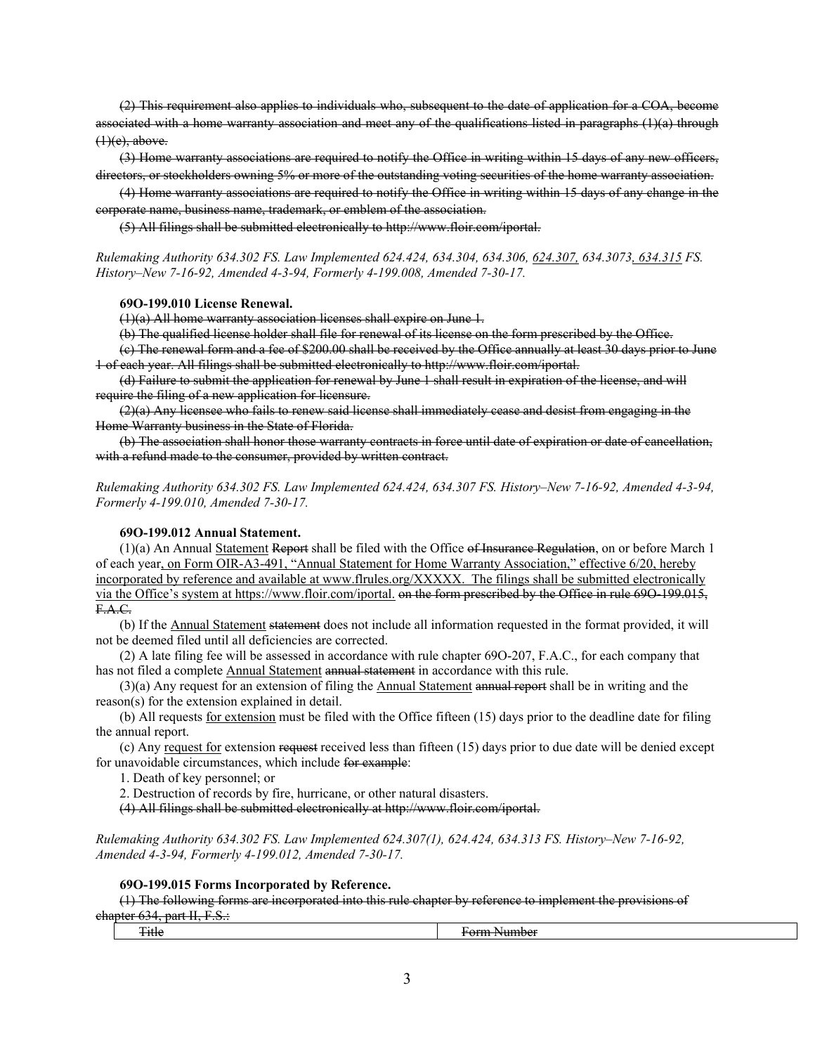(2) This requirement also applies to individuals who, subsequent to the date of application for a COA, become associated with a home warranty association and meet any of the qualifications listed in paragraphs (1)(a) through  $(1)(e)$ , above.

(3) Home warranty associations are required to notify the Office in writing within 15 days of any new officers, directors, or stockholders owning 5% or more of the outstanding voting securities of the home warranty association.

(4) Home warranty associations are required to notify the Office in writing within 15 days of any change in the corporate name, business name, trademark, or emblem of the association.

(5) All filings shall be submitted electronically to http://www.floir.com/iportal.

*Rulemaking Authority 634.302 FS. Law Implemented 624.424, 634.304, 634.306, 624.307, 634.3073, 634.315 FS. History–New 7-16-92, Amended 4-3-94, Formerly 4-199.008, Amended 7-30-17.*

#### **69O-199.010 License Renewal.**

 $(1)(a)$  All home warranty association licenses shall expire on June 1.

(b) The qualified license holder shall file for renewal of its license on the form prescribed by the Office.

(c) The renewal form and a fee of \$200.00 shall be received by the Office annually at least 30 days prior to June 1 of each year. All filings shall be submitted electronically to http://www.floir.com/iportal.

(d) Failure to submit the application for renewal by June 1 shall result in expiration of the license, and will require the filing of a new application for licensure.

 $(2)$ (a) Any licensee who fails to renew said license shall immediately cease and desist from engaging in the Home Warranty business in the State of Florida.

(b) The association shall honor those warranty contracts in force until date of expiration or date of cancellation, with a refund made to the consumer, provided by written contract.

*Rulemaking Authority 634.302 FS. Law Implemented 624.424, 634.307 FS. History–New 7-16-92, Amended 4-3-94, Formerly 4-199.010, Amended 7-30-17.*

### **69O-199.012 Annual Statement.**

(1)(a) An Annual Statement Report shall be filed with the Office of Insurance Regulation, on or before March 1 of each year, on Form OIR-A3-491, "Annual Statement for Home Warranty Association," effective 6/20, hereby incorporated by reference and available at www.flrules.org/XXXXX. The filings shall be submitted electronically via the Office's system at https://www.floir.com/iportal. <del>on the form prescribed by the Office in rule 690-199.015,</del> F.A.C.

(b) If the Annual Statement statement does not include all information requested in the format provided, it will not be deemed filed until all deficiencies are corrected.

(2) A late filing fee will be assessed in accordance with rule chapter 69O-207, F.A.C., for each company that has not filed a complete Annual Statement annual statement in accordance with this rule.

 $(3)(a)$  Any request for an extension of filing the Annual Statement annual report shall be in writing and the reason(s) for the extension explained in detail.

(b) All requests for extension must be filed with the Office fifteen (15) days prior to the deadline date for filing the annual report.

(c) Any request for extension request received less than fifteen (15) days prior to due date will be denied except for unavoidable circumstances, which include for example:

1. Death of key personnel; or

2. Destruction of records by fire, hurricane, or other natural disasters.

(4) All filings shall be submitted electronically at http://www.floir.com/iportal.

*Rulemaking Authority 634.302 FS. Law Implemented 624.307(1), 624.424, 634.313 FS. History–New 7-16-92, Amended 4-3-94, Formerly 4-199.012, Amended 7-30-17.*

#### **69O-199.015 Forms Incorporated by Reference.**

(1) The following forms are incorporated into this rule chapter by reference to implement the provisions of chapter 634, part II, F.S.:

| $\overline{\phantom{a}}$<br>ш | ------<br>. |
|-------------------------------|-------------|
|                               |             |